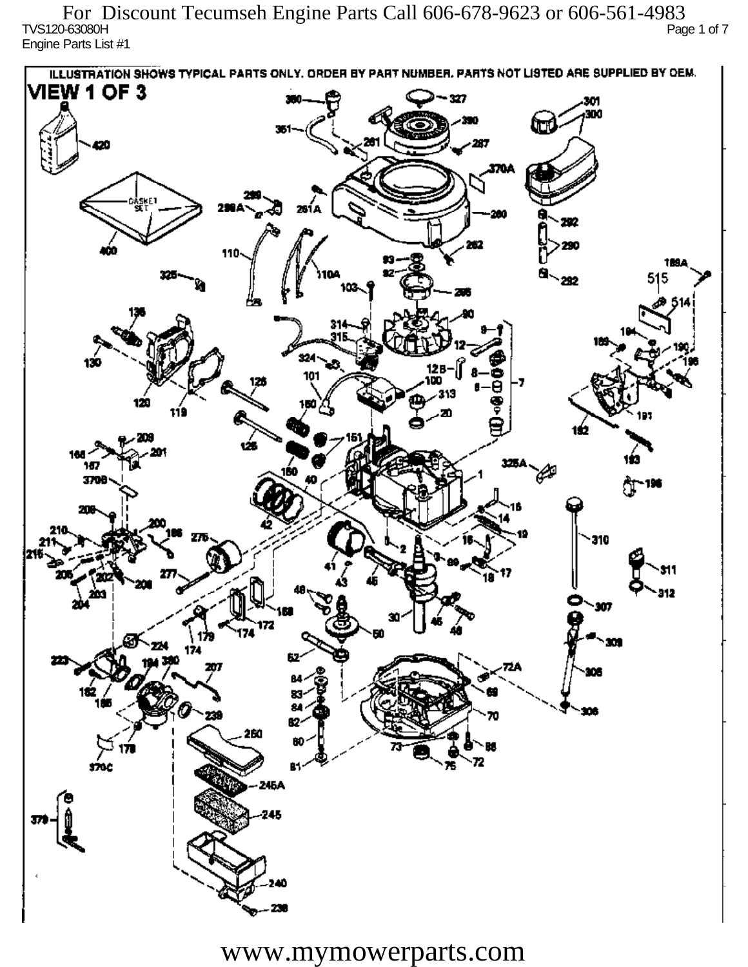TVS120-63080H Page 1 of 7 Engine Parts List #1 For Discount Tecumseh Engine Parts Call 606-678-9623 or 606-561-4983

ILLUSTRATION SHOWS TYPICAL PARTS ONLY. ORDER BY PART NUMBER, PARTS NOT LISTED ARE SUPPLIED BY DEM. **VIEW 1 OF 3** - 327 301 300 20 370A iskF1 261 A ж 292 290 110 1894 515 292 324 130 12 R 101 313 120 دھر 1ś2 ÚБ 160 167 160 P 3709 196 77 310 912 201 Ô,  $\mathbf{m}$ 172 174 174 182 ÷. ß2 260 72 sioc 76 81 245A 245 40

www.mymowerparts.com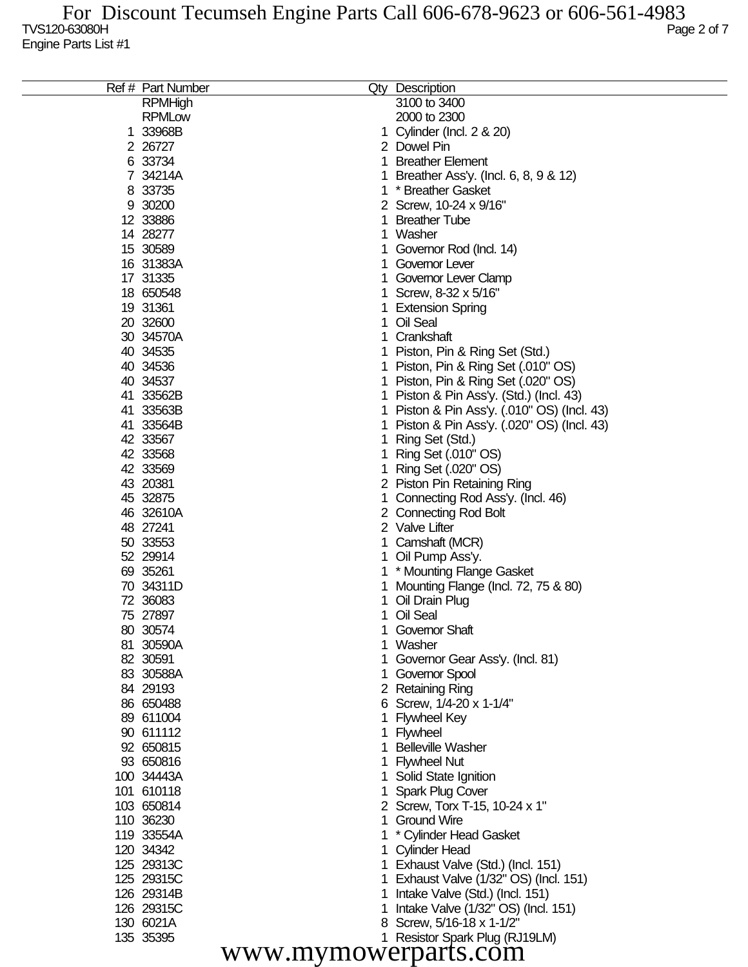|                      | Ref # Part Number |    | Qty Description                             |  |  |
|----------------------|-------------------|----|---------------------------------------------|--|--|
|                      | <b>RPMHigh</b>    |    | 3100 to 3400                                |  |  |
|                      | <b>RPMLow</b>     |    | 2000 to 2300                                |  |  |
|                      | 1 33968B          |    | 1 Cylinder (Incl. 2 & 20)                   |  |  |
|                      | 2 2 6727          |    | 2 Dowel Pin                                 |  |  |
|                      | 6 33734           | 1. | <b>Breather Element</b>                     |  |  |
|                      | 7 34214A          | 1. | Breather Ass'y. (Incl. 6, 8, 9 & 12)        |  |  |
|                      | 8 33735           |    | 1 * Breather Gasket                         |  |  |
|                      | 9 30200           |    | 2 Screw, 10-24 x 9/16"                      |  |  |
|                      | 12 33886          | 1  | <b>Breather Tube</b>                        |  |  |
|                      | 14 28277          |    | 1 Washer                                    |  |  |
|                      | 15 30589          |    | 1 Governor Rod (Incl. 14)                   |  |  |
|                      | 16 31383A         |    | 1 Governor Lever                            |  |  |
|                      | 17 31335          |    | 1 Governor Lever Clamp                      |  |  |
|                      | 18 650548         |    | 1 Screw, 8-32 x 5/16"                       |  |  |
|                      | 19 31361          |    | 1 Extension Spring                          |  |  |
|                      | 20 32600          |    | 1 Oil Seal                                  |  |  |
|                      | 30 34570A         |    | 1 Crankshaft                                |  |  |
|                      | 40 34535          |    | 1 Piston, Pin & Ring Set (Std.)             |  |  |
|                      | 40 34536          |    | 1 Piston, Pin & Ring Set (.010" OS)         |  |  |
|                      | 40 34537          |    | 1 Piston, Pin & Ring Set (.020" OS)         |  |  |
|                      | 41 33562B         |    | 1 Piston & Pin Ass'y. (Std.) (Incl. 43)     |  |  |
|                      | 41 33563B         |    | 1 Piston & Pin Ass'y. (.010" OS) (Incl. 43) |  |  |
|                      | 41 33564B         |    | 1 Piston & Pin Ass'y. (.020" OS) (Incl. 43) |  |  |
|                      |                   |    |                                             |  |  |
|                      | 42 33567          | 1. | Ring Set (Std.)                             |  |  |
|                      | 42 33568          |    | 1 Ring Set (.010" OS)                       |  |  |
|                      | 42 33569          |    | 1 Ring Set (.020" OS)                       |  |  |
|                      | 43 20381          |    | 2 Piston Pin Retaining Ring                 |  |  |
|                      | 45 32875          |    | 1 Connecting Rod Ass'y. (Incl. 46)          |  |  |
|                      | 46 32610A         |    | 2 Connecting Rod Bolt                       |  |  |
|                      | 48 27241          |    | 2 Valve Lifter                              |  |  |
|                      | 50 33553          |    | 1 Camshaft (MCR)                            |  |  |
|                      | 52 29914          |    | 1 Oil Pump Ass'y.                           |  |  |
|                      | 69 35261          |    | 1 * Mounting Flange Gasket                  |  |  |
|                      | 70 34311D         |    | Mounting Flange (Incl. 72, 75 & 80)         |  |  |
|                      | 72 36083          |    | 1 Oil Drain Plug                            |  |  |
|                      | 75 27897          |    | 1 Oil Seal                                  |  |  |
|                      | 80 30574          |    | 1 Governor Shaft                            |  |  |
|                      | 81 30590A         |    | Washer                                      |  |  |
|                      | 82 30591          |    | Governor Gear Ass'y. (Incl. 81)             |  |  |
|                      | 83 30588A         |    | 1 Governor Spool                            |  |  |
|                      | 84 29193          |    | 2 Retaining Ring                            |  |  |
|                      | 86 650488         |    | 6 Screw, 1/4-20 x 1-1/4"                    |  |  |
|                      | 89 611004         |    | 1 Flywheel Key                              |  |  |
|                      | 90 611112         |    | 1 Flywheel                                  |  |  |
|                      | 92 650815         |    | <b>Belleville Washer</b>                    |  |  |
|                      | 93 650816         |    | 1 Flywheel Nut                              |  |  |
|                      | 100 34443A        |    | 1 Solid State Ignition                      |  |  |
|                      | 101 610118        |    | 1 Spark Plug Cover                          |  |  |
|                      | 103 650814        |    | 2 Screw, Torx T-15, 10-24 x 1"              |  |  |
|                      | 110 36230         |    | 1 Ground Wire                               |  |  |
|                      | 119 33554A        |    | * Cylinder Head Gasket                      |  |  |
|                      | 120 34342         |    | 1 Cylinder Head                             |  |  |
|                      | 125 29313C        |    | 1 Exhaust Valve (Std.) (Incl. 151)          |  |  |
|                      | 125 29315C        |    | 1 Exhaust Valve (1/32" OS) (Incl. 151)      |  |  |
|                      | 126 29314B        |    | Intake Valve (Std.) (Incl. 151)             |  |  |
|                      | 126 29315C        |    | Intake Valve (1/32" OS) (Incl. 151)         |  |  |
|                      | 130 6021A         |    | 8 Screw, 5/16-18 x 1-1/2"                   |  |  |
|                      | 135 35395         |    | 1 Resistor Spark Plug (RJ19LM)              |  |  |
| www.mymowerparts.com |                   |    |                                             |  |  |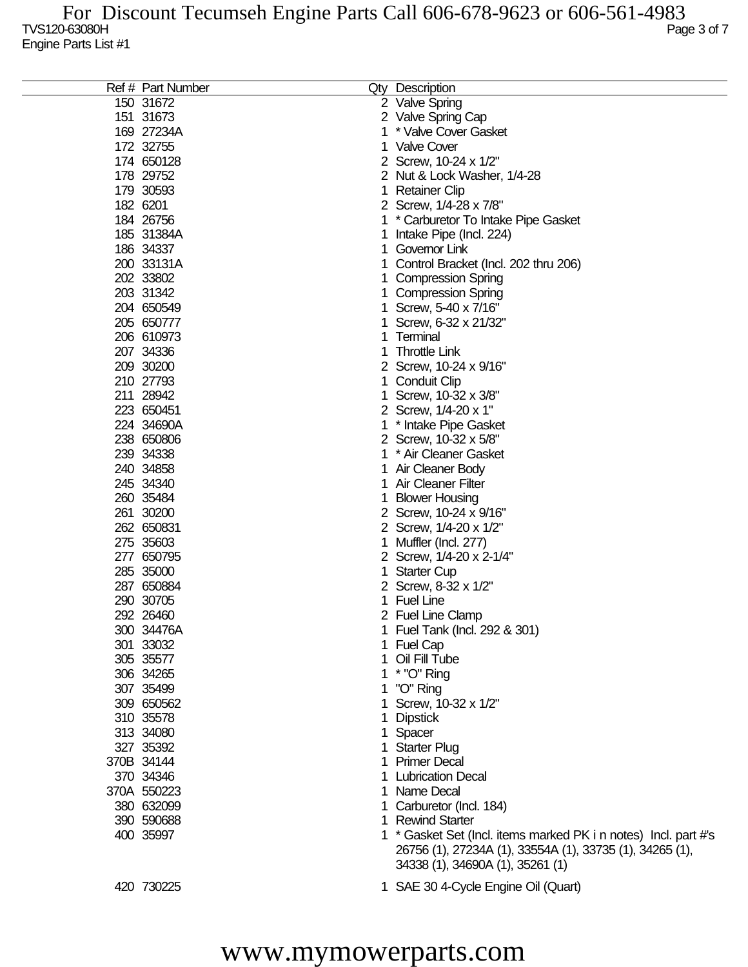| Ref # Part Number |    | Qty Description                                                                              |
|-------------------|----|----------------------------------------------------------------------------------------------|
| 150 31672         |    | 2 Valve Spring                                                                               |
| 151 31673         |    | 2 Valve Spring Cap                                                                           |
| 169 27234A        | 1  | * Valve Cover Gasket                                                                         |
| 172 32755         | 1  | <b>Valve Cover</b>                                                                           |
| 174 650128        |    | 2 Screw, 10-24 x 1/2"                                                                        |
| 178 29752         |    | 2 Nut & Lock Washer, 1/4-28                                                                  |
| 179 30593         | 1  | <b>Retainer Clip</b>                                                                         |
| 182 6201          |    | 2 Screw, 1/4-28 x 7/8"                                                                       |
| 184 26756         | 1  | * Carburetor To Intake Pipe Gasket                                                           |
|                   |    |                                                                                              |
| 185 31384A        | 1  | Intake Pipe (Incl. 224)                                                                      |
| 186 34337         | 1  | Governor Link                                                                                |
| 200 33131A        | 1  | Control Bracket (Incl. 202 thru 206)                                                         |
| 202 33802         |    | <b>Compression Spring</b>                                                                    |
| 203 31342         |    | <b>Compression Spring</b>                                                                    |
| 204 650549        | 1  | Screw, 5-40 x 7/16"                                                                          |
| 205 650777        | 1  | Screw, 6-32 x 21/32"                                                                         |
| 206 610973        | 1  | Terminal                                                                                     |
| 207 34336         | 1  | <b>Throttle Link</b>                                                                         |
| 209 30200         |    | 2 Screw, 10-24 x 9/16"                                                                       |
| 210 27793         | 1  | <b>Conduit Clip</b>                                                                          |
| 211 28942         | 1  | Screw, 10-32 x 3/8"                                                                          |
| 223 650451        |    | 2 Screw, 1/4-20 x 1"                                                                         |
| 224 34690A        | 1  | * Intake Pipe Gasket                                                                         |
| 238 650806        |    | 2 Screw, 10-32 x 5/8"                                                                        |
| 239 34338         | 1  | * Air Cleaner Gasket                                                                         |
| 240 34858         | 1  | Air Cleaner Body                                                                             |
| 245 34340         | 1  | <b>Air Cleaner Filter</b>                                                                    |
| 260 35484         | 1  | <b>Blower Housing</b>                                                                        |
| 261 30200         |    | 2 Screw, 10-24 x 9/16"                                                                       |
| 262 650831        |    |                                                                                              |
|                   |    | 2 Screw, 1/4-20 x 1/2"                                                                       |
| 275 35603         | 1  | Muffler (Incl. 277)                                                                          |
| 277 650795        |    | 2 Screw, 1/4-20 x 2-1/4"                                                                     |
| 285 35000         | 1  | <b>Starter Cup</b>                                                                           |
| 287 650884        |    | 2 Screw, 8-32 x 1/2"                                                                         |
| 290 30705         | 1  | <b>Fuel Line</b>                                                                             |
| 292 26460         |    | 2 Fuel Line Clamp                                                                            |
| 300 34476A        | 1  | Fuel Tank (Incl. 292 & 301)                                                                  |
| 301 33032         | 1  | <b>Fuel Cap</b>                                                                              |
| 305 35577         |    | Oil Fill Tube                                                                                |
| 306 34265         |    | * "O" Ring                                                                                   |
| 307 35499         |    | "O" Ring                                                                                     |
| 309 650562        |    | Screw, 10-32 x 1/2"                                                                          |
| 310 35578         |    | <b>Dipstick</b>                                                                              |
| 313 34080         | 1  | Spacer                                                                                       |
| 327 35392         | 1. | <b>Starter Plug</b>                                                                          |
| 370B 34144        | 1  | <b>Primer Decal</b>                                                                          |
| 370 34346         | 1  | <b>Lubrication Decal</b>                                                                     |
| 370A 550223       | 1  | Name Decal                                                                                   |
| 380 632099        | 1. | Carburetor (Incl. 184)                                                                       |
| 390 590688        | 1  | <b>Rewind Starter</b>                                                                        |
| 400 35997         |    | 1 * Gasket Set (Incl. items marked PK i n notes) Incl. part #'s                              |
|                   |    | 26756 (1), 27234A (1), 33554A (1), 33735 (1), 34265 (1),<br>34338 (1), 34690A (1), 35261 (1) |
| 420 730225        |    | 1 SAE 30 4-Cycle Engine Oil (Quart)                                                          |

## www.mymowerparts.com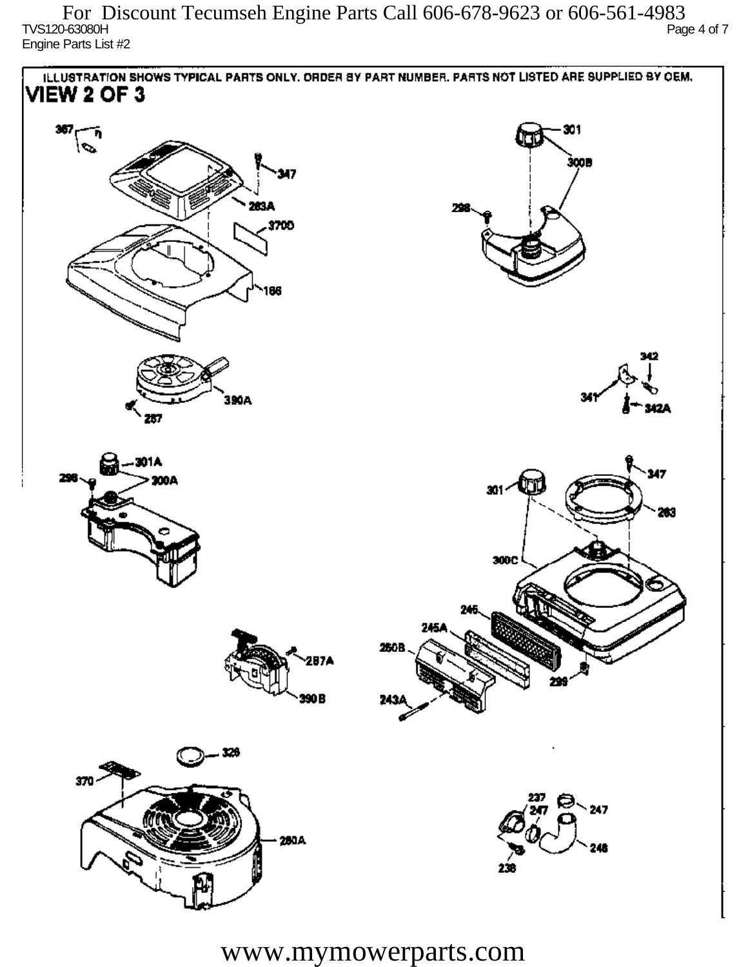TVS120-63080H Page 4 of 7 Engine Parts List #2 For Discount Tecumseh Engine Parts Call 606-678-9623 or 606-561-4983



www.mymowerparts.com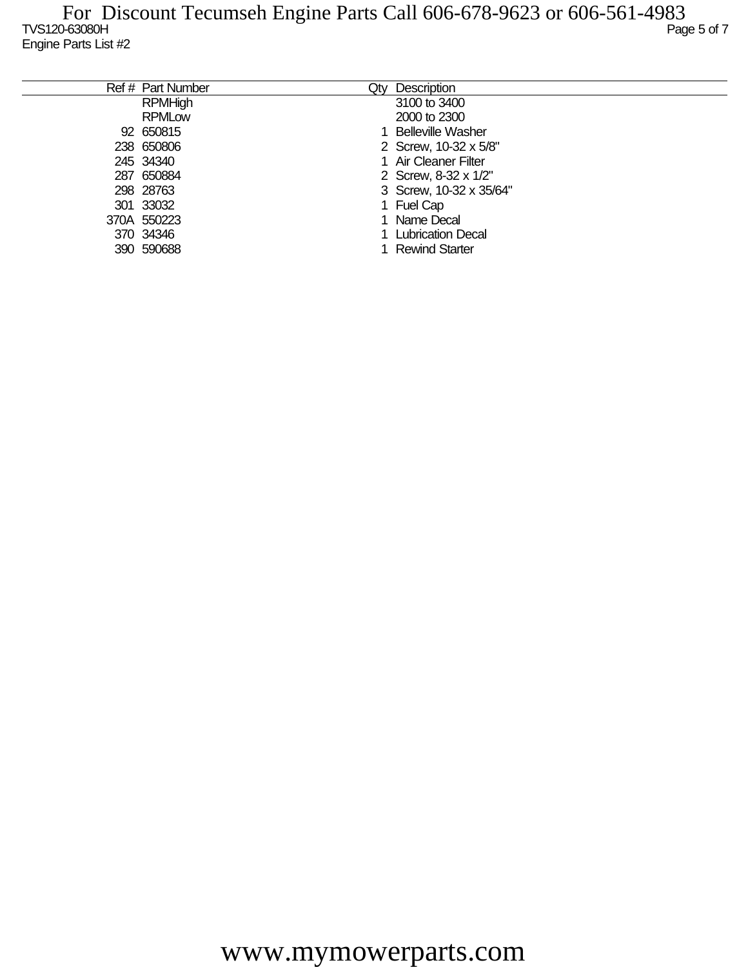| Ref # Part Number | Qty | Description              |
|-------------------|-----|--------------------------|
| <b>RPMHigh</b>    |     | 3100 to 3400             |
| <b>RPMLow</b>     |     | 2000 to 2300             |
| 92 650815         |     | <b>Belleville Washer</b> |
| 238 650806        |     | 2 Screw, 10-32 x 5/8"    |
| 245 34340         |     | 1 Air Cleaner Filter     |
| 287 650884        |     | 2 Screw, 8-32 x 1/2"     |
| 298 28763         |     | 3 Screw, 10-32 x 35/64"  |
| 301 33032         |     | 1 Fuel Cap               |
| 370A 550223       |     | Name Decal               |
| 370 34346         |     | <b>Lubrication Decal</b> |
| 390 590688        |     | <b>Rewind Starter</b>    |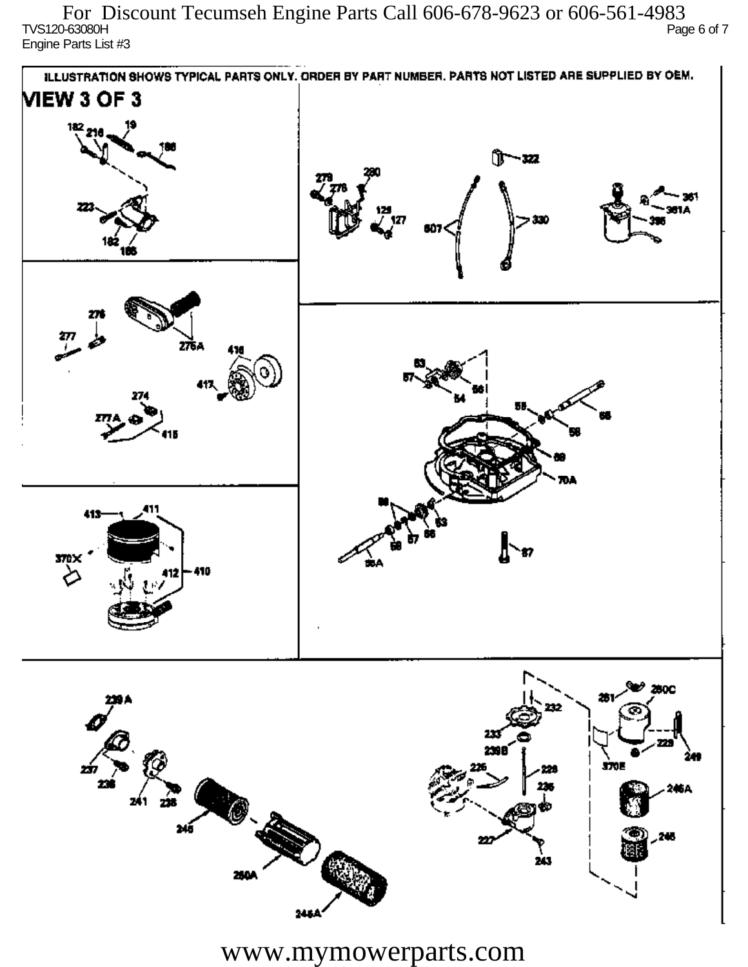TVS120-63080H Page 6 of 7 Engine Parts List #3 For Discount Tecumseh Engine Parts Call 606-678-9623 or 606-561-4983



www.mymowerparts.com